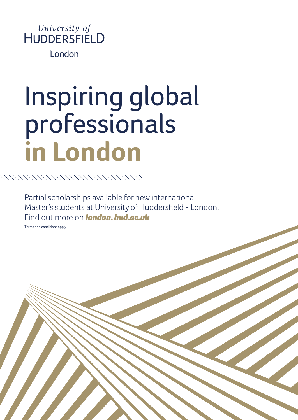

## Inspiring global professionals **in London**

Partial scholarships available for new international Master's students at University of Huddersfield - London. Find out more on *[london. hud.ac.uk](http://london.hud.ac.uk)*

Terms and conditions apply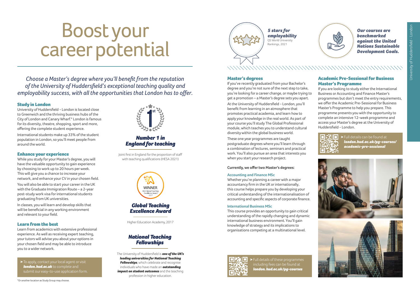# Boost your career potential

*Choose a Master's degree where you'll benefit from the reputation of the University of Huddersfield's exceptional teaching quality and employability success, with all the opportunities that London has to offer.*

### Study in London

University of Huddersfield - London is located close to Greenwich and the thriving business hubs of the City of London and Canary Wharf.\* London is famous for its diversity, theatre, shopping, sport and more, offering the complete student experience.

International students make up 33% of the student population in London, so you'll meet people from around the world.

### Enhance your experience

While you study for your Master's degree, you will have the valuable opportunity to gain experience by choosing to work up to 20 hours per week. This will give you a chance to increase your network, and enhance your CV in your chosen field. You will also be able to start your career in the UK with the Graduate Immigration Route – a 2-year post-study work visa for international students graduating from UK universities.

In classes, you will learn and develop skills that will be beneficial in any working environment and relevant to your field.

### Learn from the best

Learn from academics with extensive professional experience. As well as receiving expert teaching, your tutors will advise you about your options in your chosen field and may be able to introduce you to a wider network.

> To apply, contact your local agent or visit *[london.hud.ac.uk](http://london.hud.ac.uk)* to complete and submit our easy-to-use application form.



### *Number 1 in England for teaching*

Joint first in England for the proportion of staff with teaching qualifications (HESA 2021)



### *Global Teaching Excellence Award*

Higher Education Academy, 2017

### *National Teaching Fellowships*

The University of Huddersfield is *one of the UK's leading universities for National Teaching Fellowships, which celebrate and recognise* individuals who have made an *outstanding impact on student outcomes* and the teaching profession in higher education.



*5 stars for employability* QS World University Rankings, 2021



*Our courses are benchmarked against the United Nations Sustainable Development Goals.*

Master's degrees

If you've recently graduated from your Bachelor's degree and you're not sure of the next step to take, you're looking for a career change, or maybe trying to get a promotion – a Master's degree sets you apart. At the University of Huddersfield - London, you'll benefit from learning in an atmosphere that promotes practical academia, and learn how to apply your knowledge in the real world. As part of your course you'll study The Global Professional module, which teaches you to understand cultural diversity within the global business world.

These one year programmes are taught postgraduate degrees where you'll learn through a combination of lectures, seminars and practical work. You'll also pursue an area that interests you when you start your research project.

### **Currently, we offer two Master's degrees:**

### **Accounting and Finance MSc**

Whether you're planning a career with a major accountancy firm in the UK or internationally, this course helps prepare you by developing your critical understanding of the internationalisation of accounting and specific aspects of corporate finance.

### **International Business MSc**

This course provides an opportunity to gain critical understanding of the rapidly changing and dynamic international business environment. You'll gain knowledge of strategy and its implications to organisations competing at a multinational level.



> Full details of these programmes including fees can be found at *[london. hud.ac.uk/pg-courses](http://london.hud.ac.uk/pg-courses)*

### Academic Pre-Sessional for Business Master's Programme

If you are looking to study either the International Business or Accounting and Finance Master's programmes but don't meet the entry requirements, we offer the Academic Pre-Sessional for Business Master's Programme to help you prepare. This programme presents you with the opportunity to complete an intensive 12-week programme and access your Master's degree at the University of Huddersfield - London.



> Full details can be found at *[london.hud.ac.uk/pg-courses/](http://london.hud.ac.uk/pg-courses/academic-pre-sessional) [academic-pre-sessional](http://london.hud.ac.uk/pg-courses/academic-pre-sessional)*